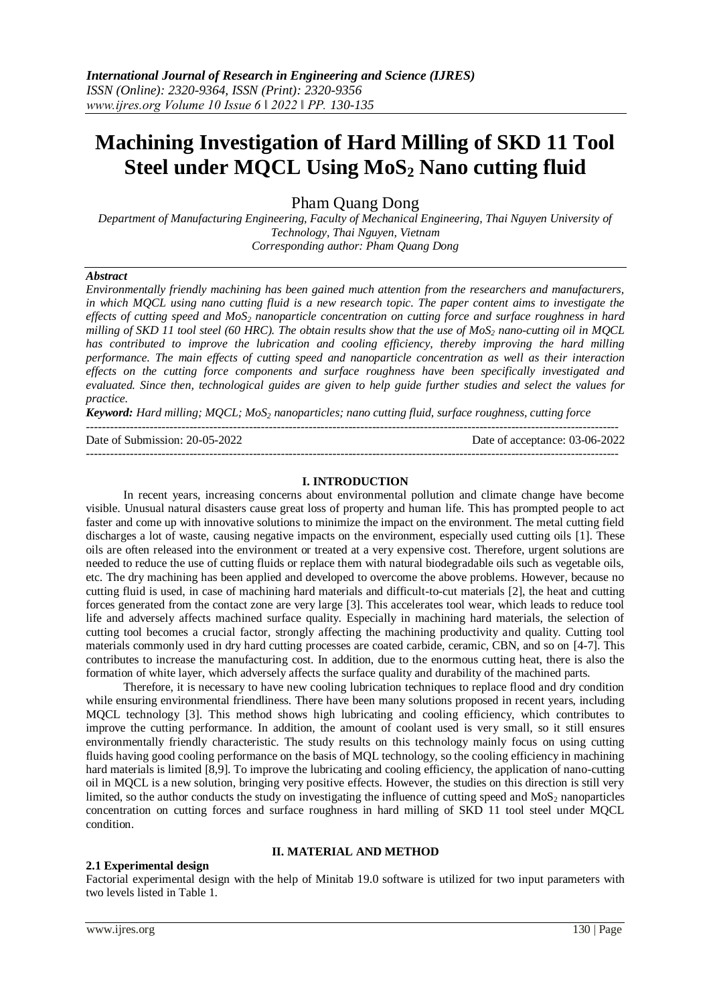# **Machining Investigation of Hard Milling of SKD 11 Tool Steel under MQCL Using MoS<sup>2</sup> Nano cutting fluid**

Pham Quang Dong

*Department of Manufacturing Engineering, Faculty of Mechanical Engineering, Thai Nguyen University of Technology, Thai Nguyen, Vietnam Corresponding author: Pham Quang Dong*

#### *Abstract*

*Environmentally friendly machining has been gained much attention from the researchers and manufacturers, in which MQCL using nano cutting fluid is a new research topic. The paper content aims to investigate the effects of cutting speed and MoS<sup>2</sup> nanoparticle concentration on cutting force and surface roughness in hard milling of SKD 11 tool steel (60 HRC). The obtain results show that the use of MoS<sup>2</sup> nano-cutting oil in MQCL has contributed to improve the lubrication and cooling efficiency, thereby improving the hard milling performance. The main effects of cutting speed and nanoparticle concentration as well as their interaction effects on the cutting force components and surface roughness have been specifically investigated and evaluated. Since then, technological guides are given to help guide further studies and select the values for practice.*

*Keyword: Hard milling; MQCL; MoS<sup>2</sup> nanoparticles; nano cutting fluid, surface roughness, cutting force*

--------------------------------------------------------------------------------------------------------------------------------------

Date of Submission: 20-05-2022 Date of acceptance: 03-06-2022

## **I. INTRODUCTION**

--------------------------------------------------------------------------------------------------------------------------------------

In recent years, increasing concerns about environmental pollution and climate change have become visible. Unusual natural disasters cause great loss of property and human life. This has prompted people to act faster and come up with innovative solutions to minimize the impact on the environment. The metal cutting field discharges a lot of waste, causing negative impacts on the environment, especially used cutting oils [1]. These oils are often released into the environment or treated at a very expensive cost. Therefore, urgent solutions are needed to reduce the use of cutting fluids or replace them with natural biodegradable oils such as vegetable oils, etc. The dry machining has been applied and developed to overcome the above problems. However, because no cutting fluid is used, in case of machining hard materials and difficult-to-cut materials [2], the heat and cutting forces generated from the contact zone are very large [3]. This accelerates tool wear, which leads to reduce tool life and adversely affects machined surface quality. Especially in machining hard materials, the selection of cutting tool becomes a crucial factor, strongly affecting the machining productivity and quality. Cutting tool materials commonly used in dry hard cutting processes are coated carbide, ceramic, CBN, and so on [4-7]. This contributes to increase the manufacturing cost. In addition, due to the enormous cutting heat, there is also the formation of white layer, which adversely affects the surface quality and durability of the machined parts.

Therefore, it is necessary to have new cooling lubrication techniques to replace flood and dry condition while ensuring environmental friendliness. There have been many solutions proposed in recent years, including MQCL technology [3]. This method shows high lubricating and cooling efficiency, which contributes to improve the cutting performance. In addition, the amount of coolant used is very small, so it still ensures environmentally friendly characteristic. The study results on this technology mainly focus on using cutting fluids having good cooling performance on the basis of MQL technology, so the cooling efficiency in machining hard materials is limited [8,9]. To improve the lubricating and cooling efficiency, the application of nano-cutting oil in MQCL is a new solution, bringing very positive effects. However, the studies on this direction is still very limited, so the author conducts the study on investigating the influence of cutting speed and  $MoS<sub>2</sub>$  nanoparticles concentration on cutting forces and surface roughness in hard milling of SKD 11 tool steel under MQCL condition.

# **II. MATERIAL AND METHOD**

# **2.1 Experimental design**

Factorial experimental design with the help of Minitab 19.0 software is utilized for two input parameters with two levels listed in Table 1.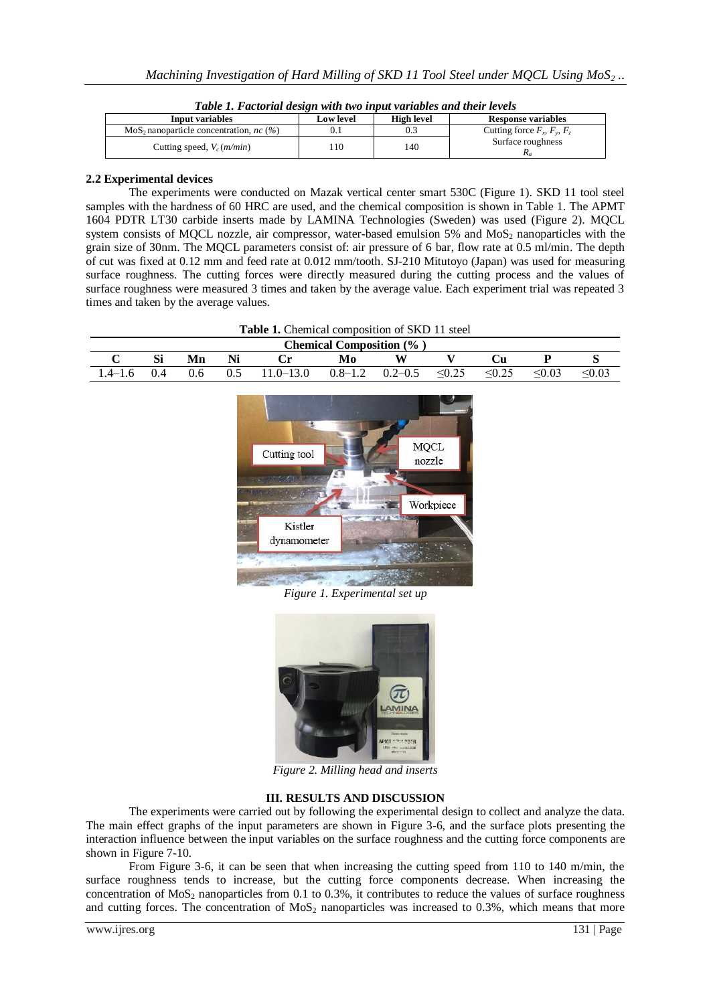| Input variables                                  | <b>High level</b><br><b>Low level</b> |      | <b>Response variables</b>           |  |  |
|--------------------------------------------------|---------------------------------------|------|-------------------------------------|--|--|
| $MoS2$ nanoparticle concentration, <i>nc</i> (%) |                                       | U. 1 | Cutting force $F_v$ , $F_v$ , $F_z$ |  |  |
| Cutting speed, $V_c$ ( <i>m/min</i> )            | .10                                   | 140  | Surface roughness                   |  |  |

*Table 1. Factorial design with two input variables and their levels*

### **2.2 Experimental devices**

The experiments were conducted on Mazak vertical center smart 530C (Figure 1). SKD 11 tool steel samples with the hardness of 60 HRC are used, and the chemical composition is shown in Table 1. The APMT 1604 PDTR LT30 carbide inserts made by LAMINA Technologies (Sweden) was used (Figure 2). MQCL system consists of MQCL nozzle, air compressor, water-based emulsion  $5\%$  and MoS<sub>2</sub> nanoparticles with the grain size of 30nm. The MQCL parameters consist of: air pressure of 6 bar, flow rate at 0.5 ml/min. The depth of cut was fixed at 0.12 mm and feed rate at 0.012 mm/tooth. SJ-210 Mitutoyo (Japan) was used for measuring surface roughness. The cutting forces were directly measured during the cutting process and the values of surface roughness were measured 3 times and taken by the average value. Each experiment trial was repeated 3 times and taken by the average values.

| <b>Table 1.</b> Chemical composition of SKD 11 steel |     |    |  |                                 |    |  |        |             |             |             |  |  |
|------------------------------------------------------|-----|----|--|---------------------------------|----|--|--------|-------------|-------------|-------------|--|--|
| <b>Chemical Composition</b> (%)                      |     |    |  |                                 |    |  |        |             |             |             |  |  |
|                                                      |     | Mn |  |                                 | Mo |  |        |             |             |             |  |  |
|                                                      | 0.4 |    |  | $0.5$ 11.0–13.0 0.8–1.2 0.2–0.5 |    |  | < 0.25 | $\leq 0.25$ | $\leq 0.03$ | $\leq 0.03$ |  |  |



*Figure 1. Experimental set up*



*Figure 2. Milling head and inserts*

# **III. RESULTS AND DISCUSSION**

The experiments were carried out by following the experimental design to collect and analyze the data. The main effect graphs of the input parameters are shown in Figure 3-6, and the surface plots presenting the interaction influence between the input variables on the surface roughness and the cutting force components are shown in Figure 7-10.

From Figure 3-6, it can be seen that when increasing the cutting speed from 110 to 140 m/min, the surface roughness tends to increase, but the cutting force components decrease. When increasing the concentration of  $MoS<sub>2</sub>$  nanoparticles from 0.1 to 0.3%, it contributes to reduce the values of surface roughness and cutting forces. The concentration of  $MoS<sub>2</sub>$  nanoparticles was increased to 0.3%, which means that more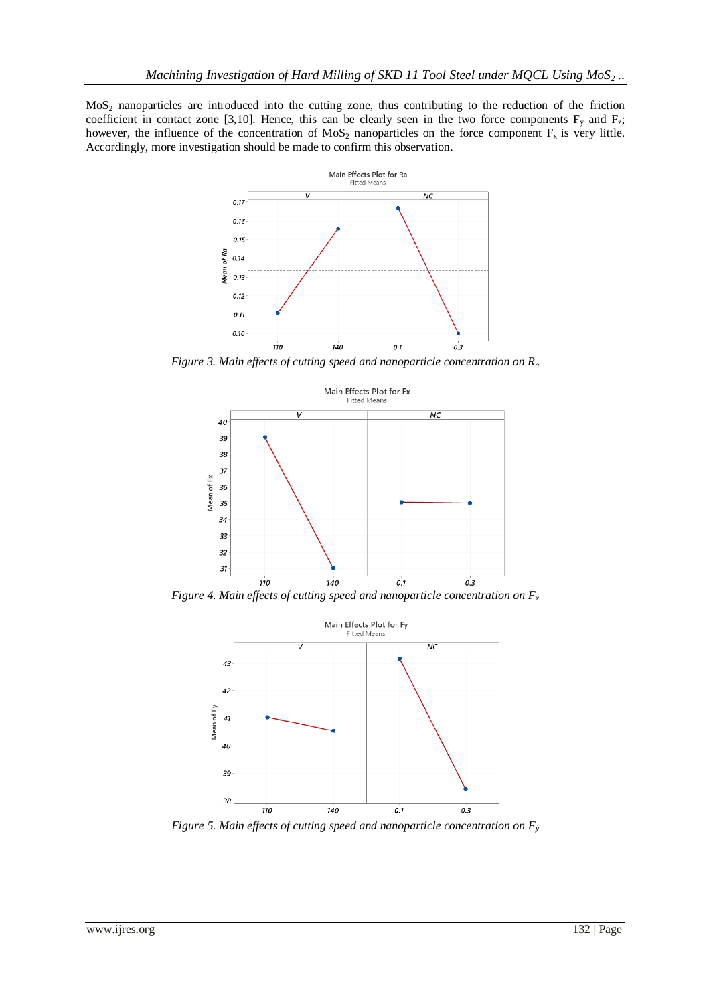MoS<sup>2</sup> nanoparticles are introduced into the cutting zone, thus contributing to the reduction of the friction coefficient in contact zone [3,10]. Hence, this can be clearly seen in the two force components  $F_y$  and  $F_z$ ; however, the influence of the concentration of  $MoS<sub>2</sub>$  nanoparticles on the force component  $F<sub>x</sub>$  is very little. Accordingly, more investigation should be made to confirm this observation.



*Figure 3. Main effects of cutting speed and nanoparticle concentration on R<sup>a</sup>*



*Figure 4. Main effects of cutting speed and nanoparticle concentration on*  $F_x$ 



*Figure 5. Main effects of cutting speed and nanoparticle concentration on Fy*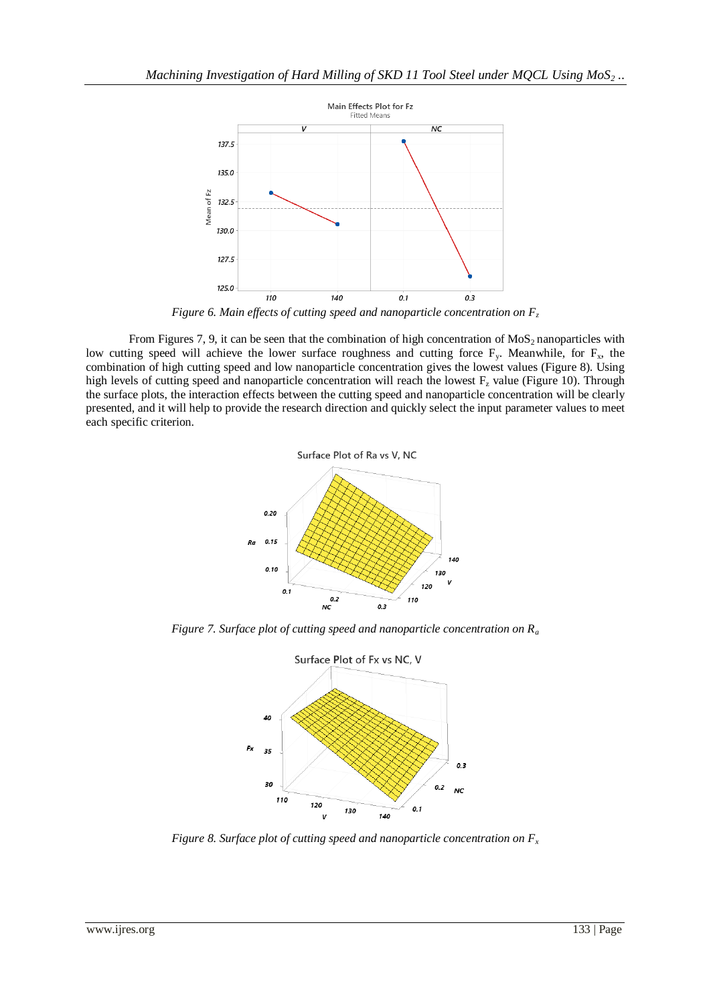

*Figure 6. Main effects of cutting speed and nanoparticle concentration on F<sup>z</sup>*

From Figures 7, 9, it can be seen that the combination of high concentration of  $MoS<sub>2</sub>$  nanoparticles with low cutting speed will achieve the lower surface roughness and cutting force  $F_y$ . Meanwhile, for  $F_x$ , the combination of high cutting speed and low nanoparticle concentration gives the lowest values (Figure 8). Using high levels of cutting speed and nanoparticle concentration will reach the lowest  $F<sub>z</sub>$  value (Figure 10). Through the surface plots, the interaction effects between the cutting speed and nanoparticle concentration will be clearly presented, and it will help to provide the research direction and quickly select the input parameter values to meet each specific criterion.



*Figure 7. Surface plot of cutting speed and nanoparticle concentration on R<sup>a</sup>*



*Figure 8. Surface plot of cutting speed and nanoparticle concentration on F<sup>x</sup>*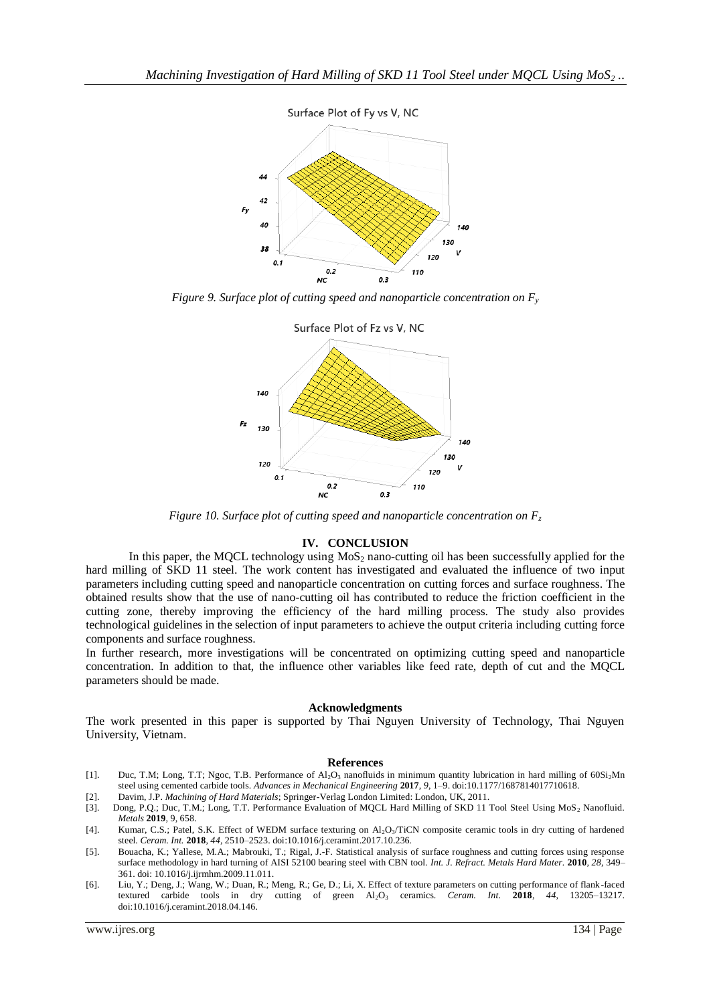

*Figure 9. Surface plot of cutting speed and nanoparticle concentration on F<sup>y</sup>*



*Figure 10. Surface plot of cutting speed and nanoparticle concentration on F<sup>z</sup>*

#### **IV. CONCLUSION**

In this paper, the MQCL technology using  $MoS<sub>2</sub>$  nano-cutting oil has been successfully applied for the hard milling of SKD 11 steel. The work content has investigated and evaluated the influence of two input parameters including cutting speed and nanoparticle concentration on cutting forces and surface roughness. The obtained results show that the use of nano-cutting oil has contributed to reduce the friction coefficient in the cutting zone, thereby improving the efficiency of the hard milling process. The study also provides technological guidelines in the selection of input parameters to achieve the output criteria including cutting force components and surface roughness.

In further research, more investigations will be concentrated on optimizing cutting speed and nanoparticle concentration. In addition to that, the influence other variables like feed rate, depth of cut and the MQCL parameters should be made.

#### **Acknowledgments**

The work presented in this paper is supported by Thai Nguyen University of Technology, Thai Nguyen University, Vietnam.

#### **References**

- [1]. Duc, T.M; Long, T.T; Ngoc, T.B. Performance of Al<sub>2</sub>O<sub>3</sub> nanofluids in minimum quantity lubrication in hard milling of 60Si<sub>2</sub>Mn steel using cemented carbide tools. *Advances in Mechanical Engineering* **2017**, *9*, 1–9. doi:10.1177/1687814017710618.
- [2]. Davim, J.P. *Machining of Hard Materials*; Springer-Verlag London Limited: London, UK, 2011.
- [3]. Dong, P.Q.; Duc, T.M.; Long, T.T. Performance Evaluation of MQCL Hard Milling of SKD 11 Tool Steel Using MoS<sub>2</sub> Nanofluid. *Metals* **2019**, 9, 658.
- [4]. Kumar, C.S.; Patel, S.K. Effect of WEDM surface texturing on Al2O3/TiCN composite ceramic tools in dry cutting of hardened steel. *Ceram. Int.* **2018**, *44*, 2510–2523. doi:10.1016/j.ceramint.2017.10.236.
- [5]. Bouacha, K.; Yallese, M.A.; Mabrouki, T.; Rigal, J.-F. Statistical analysis of surface roughness and cutting forces using response surface methodology in hard turning of AISI 52100 bearing steel with CBN tool. *Int. J. Refract. Metals Hard Mater.* **2010**, *28*, 349– 361. doi: 10.1016/j.ijrmhm.2009.11.011.
- [6]. Liu, Y.; Deng, J.; Wang, W.; Duan, R.; Meng, R.; Ge, D.; Li, X. Effect of texture parameters on cutting performance of flank -faced textured carbide tools in dry cutting of green Al2O<sup>3</sup> ceramics. *Ceram. Int.* **2018**, *44*, 13205–13217. doi:10.1016/j.ceramint.2018.04.146.